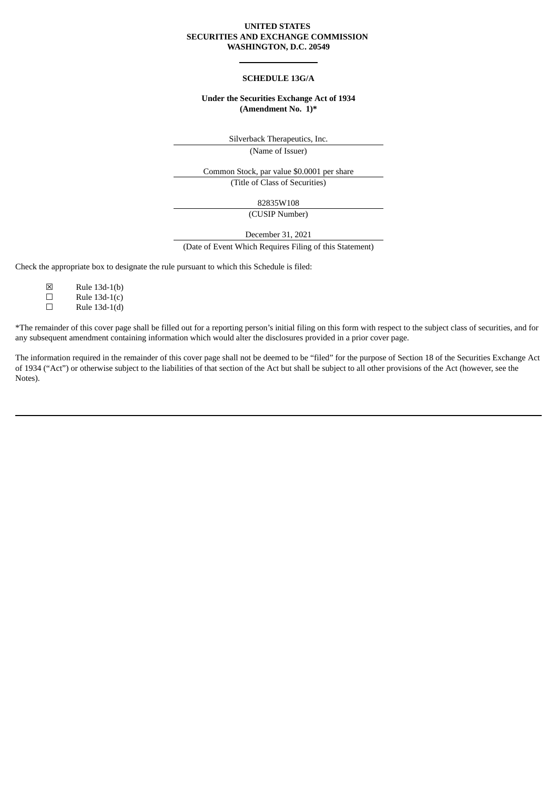#### **UNITED STATES SECURITIES AND EXCHANGE COMMISSION WASHINGTON, D.C. 20549**

#### **SCHEDULE 13G/A**

## **Under the Securities Exchange Act of 1934 (Amendment No. 1)\***

Silverback Therapeutics, Inc.

(Name of Issuer)

Common Stock, par value \$0.0001 per share (Title of Class of Securities)

82835W108

(CUSIP Number)

December 31, 2021

(Date of Event Which Requires Filing of this Statement)

Check the appropriate box to designate the rule pursuant to which this Schedule is filed:

- ☒ Rule 13d-1(b)
- $\Box$  Rule 13d-1(c)
- $\Box$  Rule 13d-1(d)

\*The remainder of this cover page shall be filled out for a reporting person's initial filing on this form with respect to the subject class of securities, and for any subsequent amendment containing information which would alter the disclosures provided in a prior cover page.

The information required in the remainder of this cover page shall not be deemed to be "filed" for the purpose of Section 18 of the Securities Exchange Act of 1934 ("Act") or otherwise subject to the liabilities of that section of the Act but shall be subject to all other provisions of the Act (however, see the Notes).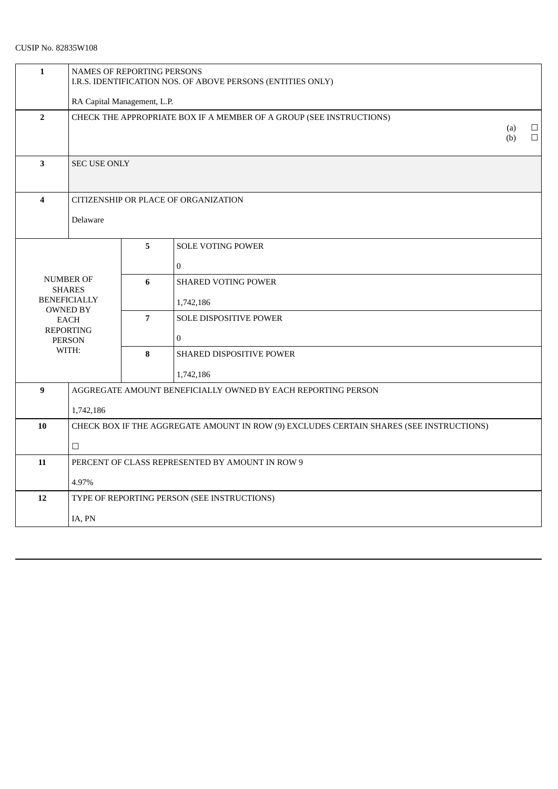# CUSIP No. 82835W108

| $\mathbf{1}$                                              | NAMES OF REPORTING PERSONS<br>I.R.S. IDENTIFICATION NOS. OF ABOVE PERSONS (ENTITIES ONLY) |                |                                      |                  |  |
|-----------------------------------------------------------|-------------------------------------------------------------------------------------------|----------------|--------------------------------------|------------------|--|
| RA Capital Management, L.P.                               |                                                                                           |                |                                      |                  |  |
| $\overline{2}$                                            | CHECK THE APPROPRIATE BOX IF A MEMBER OF A GROUP (SEE INSTRUCTIONS)<br>(a)<br>(b)         |                |                                      | $\Box$<br>$\Box$ |  |
| 3                                                         | <b>SEC USE ONLY</b>                                                                       |                |                                      |                  |  |
| 4                                                         |                                                                                           |                | CITIZENSHIP OR PLACE OF ORGANIZATION |                  |  |
|                                                           | Delaware                                                                                  |                |                                      |                  |  |
|                                                           |                                                                                           | $5^{\circ}$    | <b>SOLE VOTING POWER</b>             |                  |  |
|                                                           |                                                                                           |                | $\Omega$                             |                  |  |
|                                                           | <b>NUMBER OF</b>                                                                          | 6              | <b>SHARED VOTING POWER</b>           |                  |  |
|                                                           | <b>SHARES</b><br><b>BENEFICIALLY</b>                                                      |                | 1,742,186                            |                  |  |
|                                                           | <b>OWNED BY</b>                                                                           |                | SOLE DISPOSITIVE POWER               |                  |  |
| <b>EACH</b><br><b>REPORTING</b><br><b>PERSON</b><br>WITH: |                                                                                           | $\overline{7}$ |                                      |                  |  |
|                                                           |                                                                                           |                | $\overline{0}$                       |                  |  |
|                                                           |                                                                                           | 8              | SHARED DISPOSITIVE POWER             |                  |  |
|                                                           |                                                                                           |                | 1,742,186                            |                  |  |
| $\boldsymbol{9}$                                          | AGGREGATE AMOUNT BENEFICIALLY OWNED BY EACH REPORTING PERSON                              |                |                                      |                  |  |
|                                                           | 1,742,186                                                                                 |                |                                      |                  |  |
| 10                                                        | CHECK BOX IF THE AGGREGATE AMOUNT IN ROW (9) EXCLUDES CERTAIN SHARES (SEE INSTRUCTIONS)   |                |                                      |                  |  |
|                                                           | $\Box$                                                                                    |                |                                      |                  |  |
| 11                                                        | PERCENT OF CLASS REPRESENTED BY AMOUNT IN ROW 9                                           |                |                                      |                  |  |
| 4.97%                                                     |                                                                                           |                |                                      |                  |  |
| 12                                                        | TYPE OF REPORTING PERSON (SEE INSTRUCTIONS)                                               |                |                                      |                  |  |
|                                                           | IA, PN                                                                                    |                |                                      |                  |  |
|                                                           |                                                                                           |                |                                      |                  |  |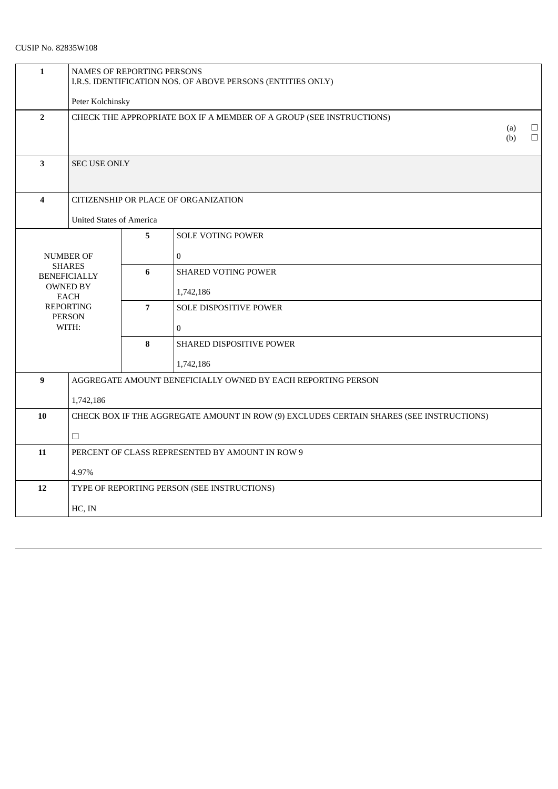# CUSIP No. 82835W108

| $\mathbf{1}$                               | NAMES OF REPORTING PERSONS<br>I.R.S. IDENTIFICATION NOS. OF ABOVE PERSONS (ENTITIES ONLY) |                |                                      |            |                  |
|--------------------------------------------|-------------------------------------------------------------------------------------------|----------------|--------------------------------------|------------|------------------|
|                                            | Peter Kolchinsky                                                                          |                |                                      |            |                  |
| $\overline{2}$                             | CHECK THE APPROPRIATE BOX IF A MEMBER OF A GROUP (SEE INSTRUCTIONS)                       |                |                                      |            |                  |
|                                            |                                                                                           |                |                                      | (a)<br>(b) | $\Box$<br>$\Box$ |
|                                            |                                                                                           |                |                                      |            |                  |
| $\mathbf{3}$                               | <b>SEC USE ONLY</b>                                                                       |                |                                      |            |                  |
|                                            |                                                                                           |                |                                      |            |                  |
| $\overline{\mathbf{4}}$                    |                                                                                           |                | CITIZENSHIP OR PLACE OF ORGANIZATION |            |                  |
|                                            | <b>United States of America</b>                                                           |                |                                      |            |                  |
|                                            |                                                                                           |                | <b>SOLE VOTING POWER</b>             |            |                  |
|                                            | <b>NUMBER OF</b>                                                                          |                | $\Omega$                             |            |                  |
|                                            | <b>SHARES</b><br><b>BENEFICIALLY</b>                                                      | 6              | <b>SHARED VOTING POWER</b>           |            |                  |
|                                            | <b>OWNED BY</b><br><b>EACH</b>                                                            |                | 1,742,186                            |            |                  |
| <b>REPORTING</b><br><b>PERSON</b><br>WITH: |                                                                                           | $\overline{7}$ | <b>SOLE DISPOSITIVE POWER</b>        |            |                  |
|                                            |                                                                                           |                | $\overline{0}$                       |            |                  |
|                                            |                                                                                           | 8              | <b>SHARED DISPOSITIVE POWER</b>      |            |                  |
|                                            |                                                                                           |                | 1,742,186                            |            |                  |
| 9                                          | AGGREGATE AMOUNT BENEFICIALLY OWNED BY EACH REPORTING PERSON                              |                |                                      |            |                  |
|                                            | 1,742,186                                                                                 |                |                                      |            |                  |
| 10                                         | CHECK BOX IF THE AGGREGATE AMOUNT IN ROW (9) EXCLUDES CERTAIN SHARES (SEE INSTRUCTIONS)   |                |                                      |            |                  |
|                                            | $\hfill \square$                                                                          |                |                                      |            |                  |
| 11                                         | PERCENT OF CLASS REPRESENTED BY AMOUNT IN ROW 9                                           |                |                                      |            |                  |
|                                            | 4.97%                                                                                     |                |                                      |            |                  |
| 12                                         | TYPE OF REPORTING PERSON (SEE INSTRUCTIONS)                                               |                |                                      |            |                  |
|                                            | HC, IN                                                                                    |                |                                      |            |                  |
|                                            |                                                                                           |                |                                      |            |                  |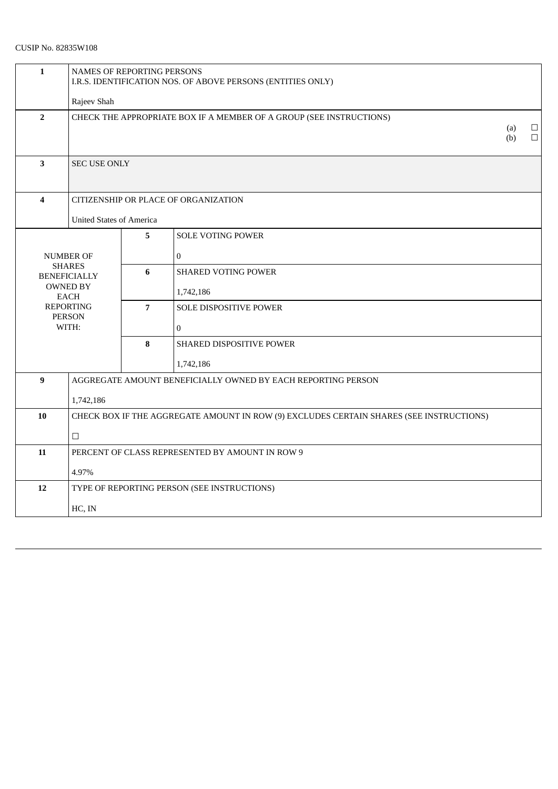| $\mathbf{1}$                      | NAMES OF REPORTING PERSONS<br>I.R.S. IDENTIFICATION NOS. OF ABOVE PERSONS (ENTITIES ONLY) |                |                               |                  |  |
|-----------------------------------|-------------------------------------------------------------------------------------------|----------------|-------------------------------|------------------|--|
|                                   | Rajeev Shah                                                                               |                |                               |                  |  |
| $\overline{2}$                    | CHECK THE APPROPRIATE BOX IF A MEMBER OF A GROUP (SEE INSTRUCTIONS)                       |                |                               |                  |  |
|                                   | (a)<br>(b)                                                                                |                |                               | $\Box$<br>$\Box$ |  |
| $\mathbf{3}$                      | SEC USE ONLY                                                                              |                |                               |                  |  |
|                                   |                                                                                           |                |                               |                  |  |
| $\overline{\mathbf{4}}$           | CITIZENSHIP OR PLACE OF ORGANIZATION                                                      |                |                               |                  |  |
|                                   | <b>United States of America</b>                                                           |                |                               |                  |  |
|                                   |                                                                                           |                | SOLE VOTING POWER             |                  |  |
| <b>NUMBER OF</b>                  |                                                                                           |                | $\mathbf{0}$                  |                  |  |
|                                   | <b>SHARES</b><br><b>BENEFICIALLY</b>                                                      | 6              | <b>SHARED VOTING POWER</b>    |                  |  |
|                                   | <b>OWNED BY</b><br><b>EACH</b>                                                            |                | 1,742,186                     |                  |  |
| <b>REPORTING</b><br><b>PERSON</b> |                                                                                           | $\overline{7}$ | <b>SOLE DISPOSITIVE POWER</b> |                  |  |
| WITH:                             |                                                                                           |                | $\overline{0}$                |                  |  |
|                                   |                                                                                           | 8              | SHARED DISPOSITIVE POWER      |                  |  |
|                                   |                                                                                           |                | 1,742,186                     |                  |  |
| 9                                 | AGGREGATE AMOUNT BENEFICIALLY OWNED BY EACH REPORTING PERSON                              |                |                               |                  |  |
|                                   | 1,742,186                                                                                 |                |                               |                  |  |
| 10                                | CHECK BOX IF THE AGGREGATE AMOUNT IN ROW (9) EXCLUDES CERTAIN SHARES (SEE INSTRUCTIONS)   |                |                               |                  |  |
|                                   | $\Box$                                                                                    |                |                               |                  |  |
| 11                                | PERCENT OF CLASS REPRESENTED BY AMOUNT IN ROW 9                                           |                |                               |                  |  |
|                                   | 4.97%                                                                                     |                |                               |                  |  |
| 12                                | TYPE OF REPORTING PERSON (SEE INSTRUCTIONS)                                               |                |                               |                  |  |
|                                   | HC, IN                                                                                    |                |                               |                  |  |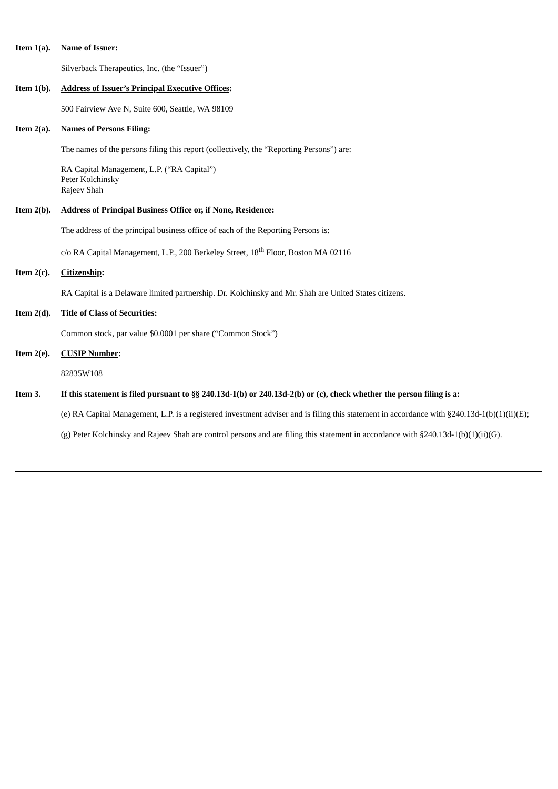|  | Item $1(a)$ . | <b>Name of Issuer:</b> |
|--|---------------|------------------------|
|--|---------------|------------------------|

Silverback Therapeutics, Inc. (the "Issuer")

| Item $1(b)$ . | <b>Address of Issuer's Principal Executive Offices:</b>                                                                                     |  |  |
|---------------|---------------------------------------------------------------------------------------------------------------------------------------------|--|--|
|               | 500 Fairview Ave N, Suite 600, Seattle, WA 98109                                                                                            |  |  |
| Item $2(a)$ . | <b>Names of Persons Filing:</b>                                                                                                             |  |  |
|               | The names of the persons filing this report (collectively, the "Reporting Persons") are:                                                    |  |  |
|               | RA Capital Management, L.P. ("RA Capital")<br>Peter Kolchinsky<br>Rajeev Shah                                                               |  |  |
| Item $2(b)$ . | <b>Address of Principal Business Office or, if None, Residence:</b>                                                                         |  |  |
|               | The address of the principal business office of each of the Reporting Persons is:                                                           |  |  |
|               | c/o RA Capital Management, L.P., 200 Berkeley Street, 18 <sup>th</sup> Floor, Boston MA 02116                                               |  |  |
| Item $2(c)$ . | <b>Citizenship:</b>                                                                                                                         |  |  |
|               | RA Capital is a Delaware limited partnership. Dr. Kolchinsky and Mr. Shah are United States citizens.                                       |  |  |
| Item $2(d)$ . | <b>Title of Class of Securities:</b>                                                                                                        |  |  |
|               | Common stock, par value \$0.0001 per share ("Common Stock")                                                                                 |  |  |
| Item $2(e)$ . | <b>CUSIP Number:</b>                                                                                                                        |  |  |
|               | 82835W108                                                                                                                                   |  |  |
| Item 3.       | If this statement is filed pursuant to $\S_2$ 240.13d-1(b) or 240.13d-2(b) or (c), check whether the person filing is a:                    |  |  |
|               | (e) RA Capital Management, L.P. is a registered investment adviser and is filing this statement in accordance with §240.13d-1(b)(1)(ii)(E); |  |  |
|               | (g) Peter Kolchinsky and Rajeev Shah are control persons and are filing this statement in accordance with §240.13d-1(b)(1)(ii)(G).          |  |  |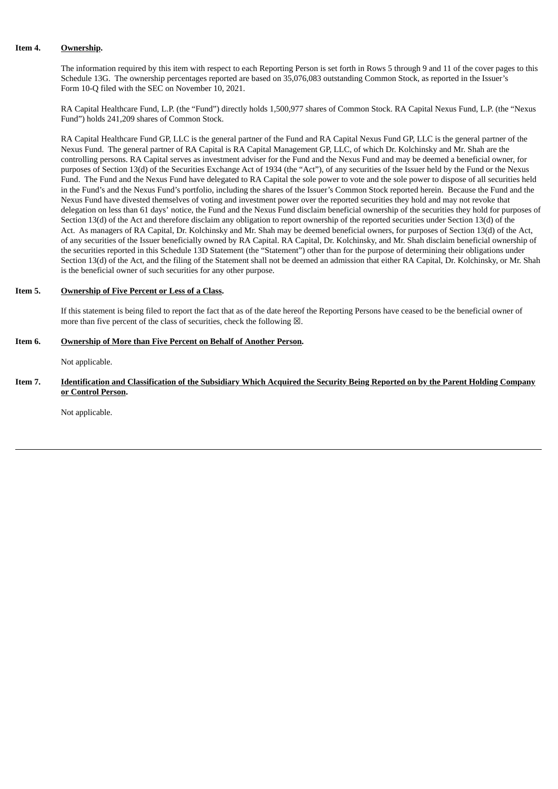## **Item 4. Ownership.**

The information required by this item with respect to each Reporting Person is set forth in Rows 5 through 9 and 11 of the cover pages to this Schedule 13G. The ownership percentages reported are based on 35,076,083 outstanding Common Stock, as reported in the Issuer's Form 10-Q filed with the SEC on November 10, 2021.

RA Capital Healthcare Fund, L.P. (the "Fund") directly holds 1,500,977 shares of Common Stock. RA Capital Nexus Fund, L.P. (the "Nexus Fund") holds 241,209 shares of Common Stock.

RA Capital Healthcare Fund GP, LLC is the general partner of the Fund and RA Capital Nexus Fund GP, LLC is the general partner of the Nexus Fund. The general partner of RA Capital is RA Capital Management GP, LLC, of which Dr. Kolchinsky and Mr. Shah are the controlling persons. RA Capital serves as investment adviser for the Fund and the Nexus Fund and may be deemed a beneficial owner, for purposes of Section 13(d) of the Securities Exchange Act of 1934 (the "Act"), of any securities of the Issuer held by the Fund or the Nexus Fund. The Fund and the Nexus Fund have delegated to RA Capital the sole power to vote and the sole power to dispose of all securities held in the Fund's and the Nexus Fund's portfolio, including the shares of the Issuer's Common Stock reported herein. Because the Fund and the Nexus Fund have divested themselves of voting and investment power over the reported securities they hold and may not revoke that delegation on less than 61 days' notice, the Fund and the Nexus Fund disclaim beneficial ownership of the securities they hold for purposes of Section 13(d) of the Act and therefore disclaim any obligation to report ownership of the reported securities under Section 13(d) of the Act. As managers of RA Capital, Dr. Kolchinsky and Mr. Shah may be deemed beneficial owners, for purposes of Section 13(d) of the Act, of any securities of the Issuer beneficially owned by RA Capital. RA Capital, Dr. Kolchinsky, and Mr. Shah disclaim beneficial ownership of the securities reported in this Schedule 13D Statement (the "Statement") other than for the purpose of determining their obligations under Section 13(d) of the Act, and the filing of the Statement shall not be deemed an admission that either RA Capital, Dr. Kolchinsky, or Mr. Shah is the beneficial owner of such securities for any other purpose.

### **Item 5. Ownership of Five Percent or Less of a Class.**

If this statement is being filed to report the fact that as of the date hereof the Reporting Persons have ceased to be the beneficial owner of more than five percent of the class of securities, check the following  $\boxtimes$ .

### **Item 6. Ownership of More than Five Percent on Behalf of Another Person.**

Not applicable.

### Item 7. **Identification and Classification of the Subsidiary Which Acquired the Security Being Reported on by the Parent Holding Company or Control Person.**

Not applicable.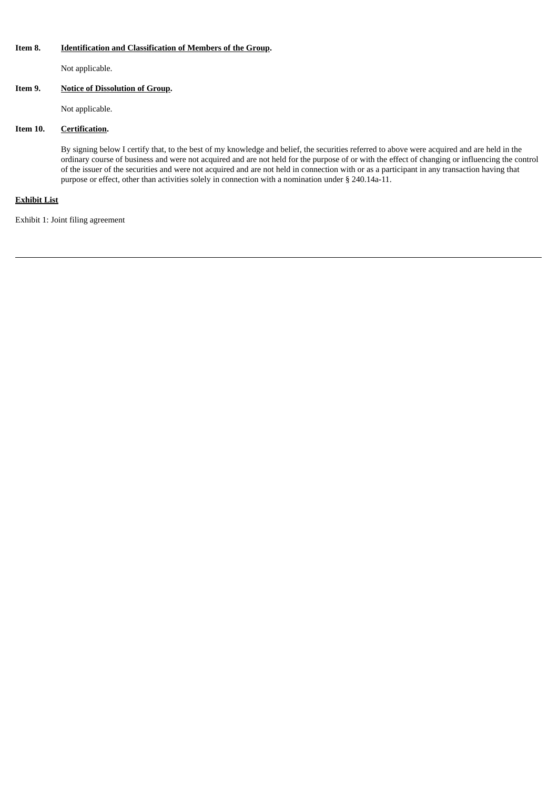## **Item 8. Identification and Classification of Members of the Group.**

Not applicable.

## **Item 9. Notice of Dissolution of Group.**

Not applicable.

## **Item 10. Certification.**

By signing below I certify that, to the best of my knowledge and belief, the securities referred to above were acquired and are held in the ordinary course of business and were not acquired and are not held for the purpose of or with the effect of changing or influencing the control of the issuer of the securities and were not acquired and are not held in connection with or as a participant in any transaction having that purpose or effect, other than activities solely in connection with a nomination under § 240.14a-11.

## **Exhibit List**

Exhibit 1: Joint filing agreement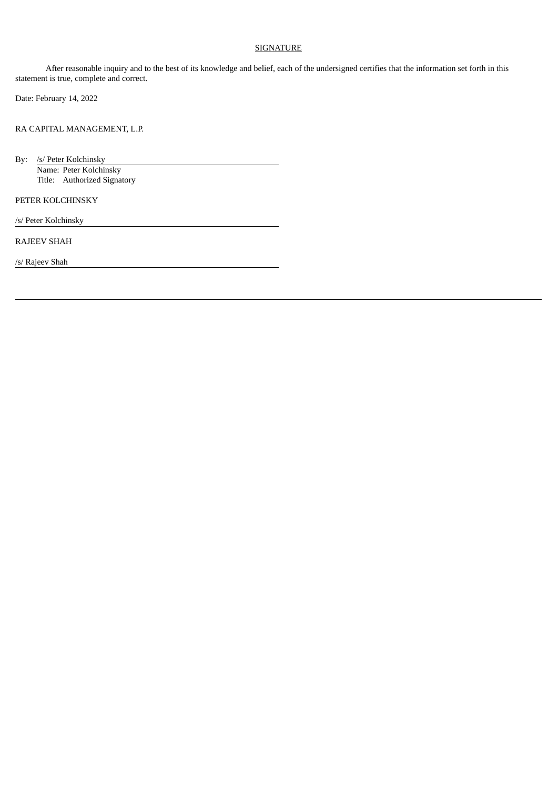## **SIGNATURE**

After reasonable inquiry and to the best of its knowledge and belief, each of the undersigned certifies that the information set forth in this statement is true, complete and correct.

Date: February 14, 2022

RA CAPITAL MANAGEMENT, L.P.

By: /s/ Peter Kolchinsky Name: Peter Kolchinsky Title: Authorized Signatory

PETER KOLCHINSKY

/s/ Peter Kolchinsky

RAJEEV SHAH

/s/ Rajeev Shah